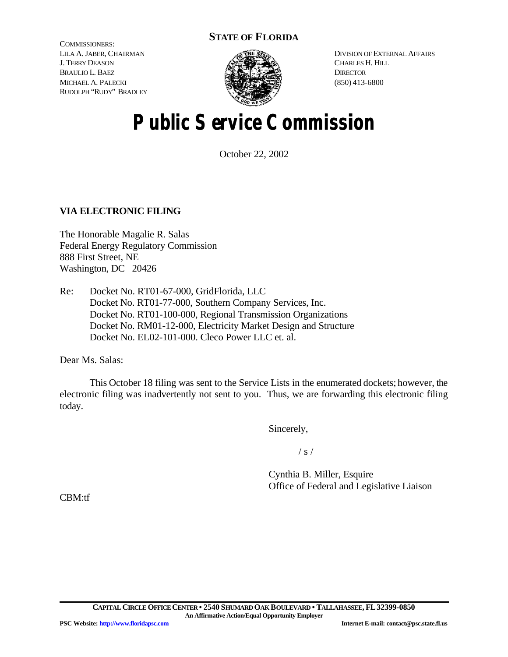### **STATE OF FLORIDA**

COMMISSIONERS: LILA A. JABER, CHAIRMAN J. TERRY DEASON BRAULIO L. BAEZ MICHAEL A. PALECKI RUDOLPH "RUDY" BRADLEY



DIVISION OF EXTERNAL AFFAIRS CHARLES H. HILL **DIRECTOR** (850) 413-6800

# **Public Service Commission**

October 22, 2002

#### **VIA ELECTRONIC FILING**

The Honorable Magalie R. Salas Federal Energy Regulatory Commission 888 First Street, NE Washington, DC 20426

Re: Docket No. RT01-67-000, GridFlorida, LLC Docket No. RT01-77-000, Southern Company Services, Inc. Docket No. RT01-100-000, Regional Transmission Organizations Docket No. RM01-12-000, Electricity Market Design and Structure Docket No. EL02-101-000. Cleco Power LLC et. al.

Dear Ms. Salas:

This October 18 filing was sent to the Service Lists in the enumerated dockets; however, the electronic filing was inadvertently not sent to you. Thus, we are forwarding this electronic filing today.

Sincerely,

 $/ s /$ 

Cynthia B. Miller, Esquire Office of Federal and Legislative Liaison

CBM:tf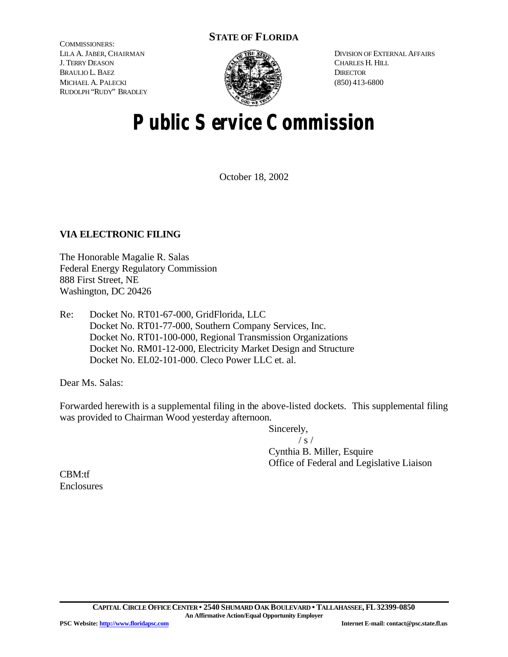### **STATE OF FLORIDA**

COMMISSIONERS: LILA A. JABER, CHAIRMAN J. TERRY DEASON BRAULIO L. BAEZ MICHAEL A. PALECKI RUDOLPH "RUDY" BRADLEY



DIVISION OF EXTERNAL AFFAIRS CHARLES H. HILL **DIRECTOR** (850) 413-6800

# **Public Service Commission**

October 18, 2002

#### **VIA ELECTRONIC FILING**

The Honorable Magalie R. Salas Federal Energy Regulatory Commission 888 First Street, NE Washington, DC 20426

Re: Docket No. RT01-67-000, GridFlorida, LLC Docket No. RT01-77-000, Southern Company Services, Inc. Docket No. RT01-100-000, Regional Transmission Organizations Docket No. RM01-12-000, Electricity Market Design and Structure Docket No. EL02-101-000. Cleco Power LLC et. al.

Dear Ms. Salas:

Forwarded herewith is a supplemental filing in the above-listed dockets. This supplemental filing was provided to Chairman Wood yesterday afternoon.

Sincerely,

 $/ s /$ 

Cynthia B. Miller, Esquire Office of Federal and Legislative Liaison

CBM:tf Enclosures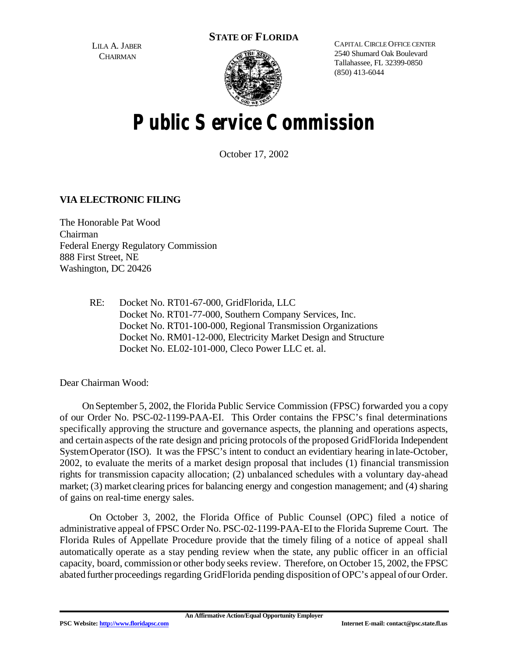**STATE OF FLORIDA**

LILA A. JABER **CHAIRMAN** 



CAPITAL CIRCLE OFFICE CENTER 2540 Shumard Oak Boulevard Tallahassee, FL 32399-0850 (850) 413-6044

# **Public Service Commission**

October 17, 2002

### **VIA ELECTRONIC FILING**

The Honorable Pat Wood Chairman Federal Energy Regulatory Commission 888 First Street, NE Washington, DC 20426

> RE: Docket No. RT01-67-000, GridFlorida, LLC Docket No. RT01-77-000, Southern Company Services, Inc. Docket No. RT01-100-000, Regional Transmission Organizations Docket No. RM01-12-000, Electricity Market Design and Structure Docket No. EL02-101-000, Cleco Power LLC et. al.

Dear Chairman Wood:

On September 5, 2002, the Florida Public Service Commission (FPSC) forwarded you a copy of our Order No. PSC-02-1199-PAA-EI. This Order contains the FPSC's final determinations specifically approving the structure and governance aspects, the planning and operations aspects, and certain aspects of the rate design and pricing protocols of the proposed GridFlorida Independent SystemOperator (ISO). It was the FPSC's intent to conduct an evidentiary hearing in late-October, 2002, to evaluate the merits of a market design proposal that includes (1) financial transmission rights for transmission capacity allocation; (2) unbalanced schedules with a voluntary day-ahead market; (3) market clearing prices for balancing energy and congestion management; and (4) sharing of gains on real-time energy sales.

On October 3, 2002, the Florida Office of Public Counsel (OPC) filed a notice of administrative appeal of FPSC Order No. PSC-02-1199-PAA-EIto the Florida Supreme Court. The Florida Rules of Appellate Procedure provide that the timely filing of a notice of appeal shall automatically operate as a stay pending review when the state, any public officer in an official capacity, board, commission or other body seeks review. Therefore, on October 15, 2002, the FPSC abated further proceedings regarding GridFlorida pending disposition of OPC's appeal ofour Order.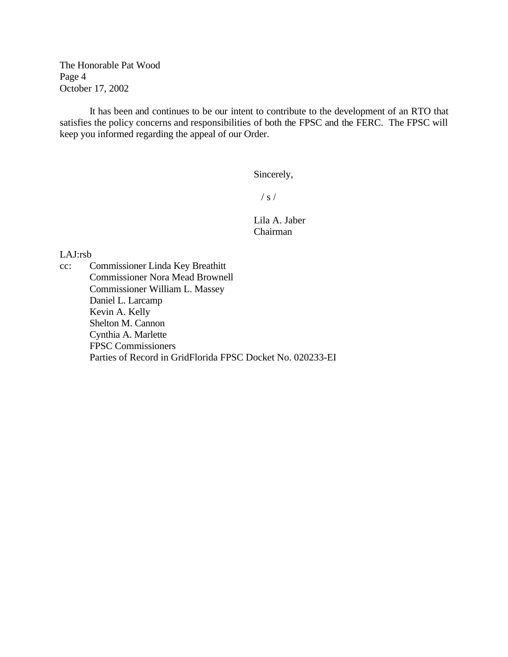The Honorable Pat Wood Page 4 October 17, 2002

It has been and continues to be our intent to contribute to the development of an RTO that satisfies the policy concerns and responsibilities of both the FPSC and the FERC. The FPSC will keep you informed regarding the appeal of our Order.

Sincerely,

 $/ s /$ 

Lila A. Jaber Chairman

LAJ:rsb

cc: Commissioner Linda Key Breathitt Commissioner Nora Mead Brownell Commissioner William L. Massey Daniel L. Larcamp Kevin A. Kelly Shelton M. Cannon Cynthia A. Marlette FPSC Commissioners Parties of Record in GridFlorida FPSC Docket No. 020233-EI